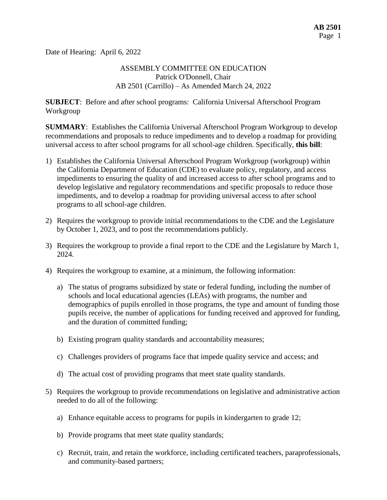Date of Hearing: April 6, 2022

#### ASSEMBLY COMMITTEE ON EDUCATION Patrick O'Donnell, Chair AB 2501 (Carrillo) – As Amended March 24, 2022

**SUBJECT**: Before and after school programs: California Universal Afterschool Program Workgroup

**SUMMARY**: Establishes the California Universal Afterschool Program Workgroup to develop recommendations and proposals to reduce impediments and to develop a roadmap for providing universal access to after school programs for all school-age children. Specifically, **this bill**:

- 1) Establishes the California Universal Afterschool Program Workgroup (workgroup) within the California Department of Education (CDE) to evaluate policy, regulatory, and access impediments to ensuring the quality of and increased access to after school programs and to develop legislative and regulatory recommendations and specific proposals to reduce those impediments, and to develop a roadmap for providing universal access to after school programs to all school-age children.
- 2) Requires the workgroup to provide initial recommendations to the CDE and the Legislature by October 1, 2023, and to post the recommendations publicly.
- 3) Requires the workgroup to provide a final report to the CDE and the Legislature by March 1, 2024.
- 4) Requires the workgroup to examine, at a minimum, the following information:
	- a) The status of programs subsidized by state or federal funding, including the number of schools and local educational agencies (LEAs) with programs, the number and demographics of pupils enrolled in those programs, the type and amount of funding those pupils receive, the number of applications for funding received and approved for funding, and the duration of committed funding;
	- b) Existing program quality standards and accountability measures;
	- c) Challenges providers of programs face that impede quality service and access; and
	- d) The actual cost of providing programs that meet state quality standards.
- 5) Requires the workgroup to provide recommendations on legislative and administrative action needed to do all of the following:
	- a) Enhance equitable access to programs for pupils in kindergarten to grade 12;
	- b) Provide programs that meet state quality standards;
	- c) Recruit, train, and retain the workforce, including certificated teachers, paraprofessionals, and community-based partners;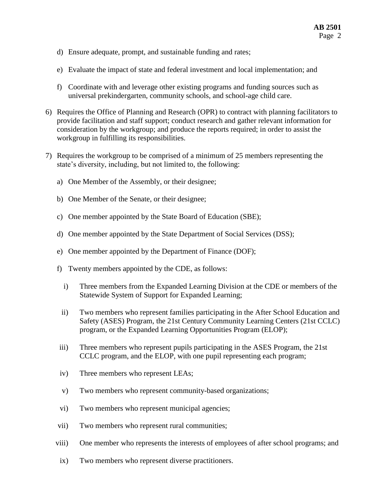- d) Ensure adequate, prompt, and sustainable funding and rates;
- e) Evaluate the impact of state and federal investment and local implementation; and
- f) Coordinate with and leverage other existing programs and funding sources such as universal prekindergarten, community schools, and school-age child care.
- 6) Requires the Office of Planning and Research (OPR) to contract with planning facilitators to provide facilitation and staff support; conduct research and gather relevant information for consideration by the workgroup; and produce the reports required; in order to assist the workgroup in fulfilling its responsibilities.
- 7) Requires the workgroup to be comprised of a minimum of 25 members representing the state's diversity, including, but not limited to, the following:
	- a) One Member of the Assembly, or their designee;
	- b) One Member of the Senate, or their designee;
	- c) One member appointed by the State Board of Education (SBE);
	- d) One member appointed by the State Department of Social Services (DSS);
	- e) One member appointed by the Department of Finance (DOF);
	- f) Twenty members appointed by the CDE, as follows:
		- i) Three members from the Expanded Learning Division at the CDE or members of the Statewide System of Support for Expanded Learning;
	- ii) Two members who represent families participating in the After School Education and Safety (ASES) Program, the 21st Century Community Learning Centers (21st CCLC) program, or the Expanded Learning Opportunities Program (ELOP);
	- iii) Three members who represent pupils participating in the ASES Program, the 21st CCLC program, and the ELOP, with one pupil representing each program;
	- iv) Three members who represent LEAs;
	- v) Two members who represent community-based organizations;
	- vi) Two members who represent municipal agencies;
	- vii) Two members who represent rural communities;
	- viii) One member who represents the interests of employees of after school programs; and
	- ix) Two members who represent diverse practitioners.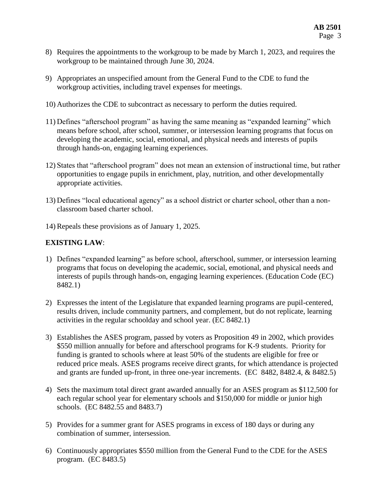- 8) Requires the appointments to the workgroup to be made by March 1, 2023, and requires the workgroup to be maintained through June 30, 2024.
- 9) Appropriates an unspecified amount from the General Fund to the CDE to fund the workgroup activities, including travel expenses for meetings.
- 10) Authorizes the CDE to subcontract as necessary to perform the duties required.
- 11) Defines "afterschool program" as having the same meaning as "expanded learning" which means before school, after school, summer, or intersession learning programs that focus on developing the academic, social, emotional, and physical needs and interests of pupils through hands-on, engaging learning experiences.
- 12) States that "afterschool program" does not mean an extension of instructional time, but rather opportunities to engage pupils in enrichment, play, nutrition, and other developmentally appropriate activities.
- 13) Defines "local educational agency" as a school district or charter school, other than a nonclassroom based charter school.
- 14) Repeals these provisions as of January 1, 2025.

## **EXISTING LAW**:

- 1) Defines "expanded learning" as before school, afterschool, summer, or intersession learning programs that focus on developing the academic, social, emotional, and physical needs and interests of pupils through hands-on, engaging learning experiences. (Education Code (EC) 8482.1)
- 2) Expresses the intent of the Legislature that expanded learning programs are pupil-centered, results driven, include community partners, and complement, but do not replicate, learning activities in the regular schoolday and school year. (EC 8482.1)
- 3) Establishes the ASES program, passed by voters as Proposition 49 in 2002, which provides \$550 million annually for before and afterschool programs for K-9 students. Priority for funding is granted to schools where at least 50% of the students are eligible for free or reduced price meals. ASES programs receive direct grants, for which attendance is projected and grants are funded up-front, in three one-year increments. (EC 8482, 8482.4, & 8482.5)
- 4) Sets the maximum total direct grant awarded annually for an ASES program as \$112,500 for each regular school year for elementary schools and \$150,000 for middle or junior high schools. (EC 8482.55 and 8483.7)
- 5) Provides for a summer grant for ASES programs in excess of 180 days or during any combination of summer, intersession.
- 6) Continuously appropriates \$550 million from the General Fund to the CDE for the ASES program. (EC 8483.5)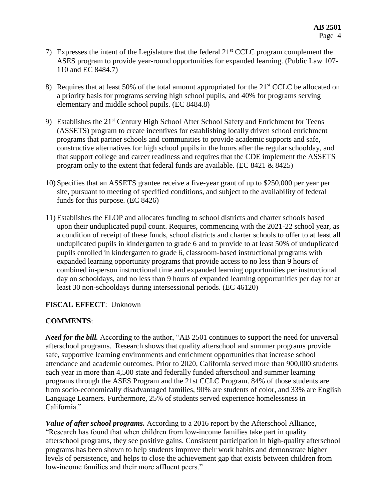- 7) Expresses the intent of the Legislature that the federal  $21<sup>st</sup> CCLC$  program complement the ASES program to provide year-round opportunities for expanded learning. (Public Law 107- 110 and EC 8484.7)
- 8) Requires that at least 50% of the total amount appropriated for the 21<sup>st</sup> CCLC be allocated on a priority basis for programs serving high school pupils, and 40% for programs serving elementary and middle school pupils. (EC 8484.8)
- 9) Establishes the 21<sup>st</sup> Century High School After School Safety and Enrichment for Teens (ASSETS) program to create incentives for establishing locally driven school enrichment programs that partner schools and communities to provide academic supports and safe, constructive alternatives for high school pupils in the hours after the regular schoolday, and that support college and career readiness and requires that the CDE implement the ASSETS program only to the extent that federal funds are available. (EC  $8421 \& 8425$ )
- 10) Specifies that an ASSETS grantee receive a five-year grant of up to \$250,000 per year per site, pursuant to meeting of specified conditions, and subject to the availability of federal funds for this purpose. (EC 8426)
- 11) Establishes the ELOP and allocates funding to school districts and charter schools based upon their unduplicated pupil count. Requires, commencing with the 2021-22 school year, as a condition of receipt of these funds, school districts and charter schools to offer to at least all unduplicated pupils in kindergarten to grade 6 and to provide to at least 50% of unduplicated pupils enrolled in kindergarten to grade 6, classroom-based instructional programs with expanded learning opportunity programs that provide access to no less than 9 hours of combined in-person instructional time and expanded learning opportunities per instructional day on schooldays, and no less than 9 hours of expanded learning opportunities per day for at least 30 non-schooldays during intersessional periods. (EC 46120)

### **FISCAL EFFECT**: Unknown

### **COMMENTS**:

*Need for the bill.* According to the author, "AB 2501 continues to support the need for universal afterschool programs. Research shows that quality afterschool and summer programs provide safe, supportive learning environments and enrichment opportunities that increase school attendance and academic outcomes. Prior to 2020, California served more than 900,000 students each year in more than 4,500 state and federally funded afterschool and summer learning programs through the ASES Program and the 21st CCLC Program. 84% of those students are from socio-economically disadvantaged families, 90% are students of color, and 33% are English Language Learners. Furthermore, 25% of students served experience homelessness in California."

*Value of after school programs.* According to a 2016 report by the Afterschool Alliance, "Research has found that when children from low-income families take part in quality afterschool programs, they see positive gains. Consistent participation in high-quality afterschool programs has been shown to help students improve their work habits and demonstrate higher levels of persistence, and helps to close the achievement gap that exists between children from low-income families and their more affluent peers."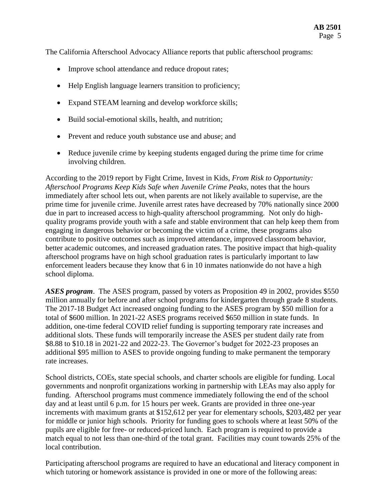The California Afterschool Advocacy Alliance reports that public afterschool programs:

- Improve school attendance and reduce dropout rates;
- Help English language learners transition to proficiency;
- Expand STEAM learning and develop workforce skills;
- Build social-emotional skills, health, and nutrition;
- Prevent and reduce youth substance use and abuse; and
- Reduce juvenile crime by keeping students engaged during the prime time for crime involving children.

According to the 2019 report by Fight Crime, Invest in Kids, *From Risk to Opportunity: Afterschool Programs Keep Kids Safe when Juvenile Crime Peaks,* notes that the hours immediately after school lets out, when parents are not likely available to supervise, are the prime time for juvenile crime. Juvenile arrest rates have decreased by 70% nationally since 2000 due in part to increased access to high-quality afterschool programming. Not only do highquality programs provide youth with a safe and stable environment that can help keep them from engaging in dangerous behavior or becoming the victim of a crime, these programs also contribute to positive outcomes such as improved attendance, improved classroom behavior, better academic outcomes, and increased graduation rates. The positive impact that high-quality afterschool programs have on high school graduation rates is particularly important to law enforcement leaders because they know that 6 in 10 inmates nationwide do not have a high school diploma.

*ASES program*. The ASES program, passed by voters as Proposition 49 in 2002, provides \$550 million annually for before and after school programs for kindergarten through grade 8 students. The 2017-18 Budget Act increased ongoing funding to the ASES program by \$50 million for a total of \$600 million. In 2021-22 ASES programs received \$650 million in state funds. In addition, one-time federal COVID relief funding is supporting temporary rate increases and additional slots. These funds will temporarily increase the ASES per student daily rate from \$8.88 to \$10.18 in 2021-22 and 2022-23. The Governor's budget for 2022-23 proposes an additional \$95 million to ASES to provide ongoing funding to make permanent the temporary rate increases.

School districts, COEs, state special schools, and charter schools are eligible for funding. Local governments and nonprofit organizations working in partnership with LEAs may also apply for funding. Afterschool programs must commence immediately following the end of the school day and at least until 6 p.m. for 15 hours per week. Grants are provided in three one-year increments with maximum grants at \$152,612 per year for elementary schools, \$203,482 per year for middle or junior high schools. Priority for funding goes to schools where at least 50% of the pupils are eligible for free- or reduced-priced lunch. Each program is required to provide a match equal to not less than one-third of the total grant. Facilities may count towards 25% of the local contribution.

Participating afterschool programs are required to have an educational and literacy component in which tutoring or homework assistance is provided in one or more of the following areas: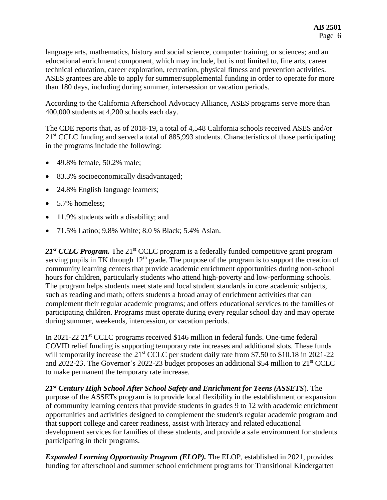language arts, mathematics, history and social science, computer training, or sciences; and an educational enrichment component, which may include, but is not limited to, fine arts, career technical education, career exploration, recreation, physical fitness and prevention activities. ASES grantees are able to apply for summer/supplemental funding in order to operate for more than 180 days, including during summer, intersession or vacation periods.

According to the California Afterschool Advocacy Alliance, ASES programs serve more than 400,000 students at 4,200 schools each day.

The CDE reports that, as of 2018-19, a total of 4,548 California schools received ASES and/or 21<sup>st</sup> CCLC funding and served a total of 885,993 students. Characteristics of those participating in the programs include the following:

- 49.8% female, 50.2% male;
- 83.3% socioeconomically disadvantaged;
- 24.8% English language learners;
- 5.7% homeless;
- 11.9% students with a disability; and
- 71.5% Latino; 9.8% White; 8.0 % Black; 5.4% Asian.

21<sup>*st*</sup> *CCLC Program*. The 21<sup>st</sup> CCLC program is a federally funded competitive grant program serving pupils in TK through  $12<sup>th</sup>$  grade. The purpose of the program is to support the creation of community learning centers that provide academic enrichment opportunities during non-school hours for children, particularly students who attend high-poverty and low-performing schools. The program helps students meet state and local student standards in core academic subjects, such as reading and math; offers students a broad array of enrichment activities that can complement their regular academic programs; and offers educational services to the families of participating children. Programs must operate during every regular school day and may operate during summer, weekends, intercession, or vacation periods.

In 2021-22 21st CCLC programs received \$146 million in federal funds. One-time federal COVID relief funding is supporting temporary rate increases and additional slots. These funds will temporarily increase the 21<sup>st</sup> CCLC per student daily rate from \$7.50 to \$10.18 in 2021-22 and 2022-23. The Governor's 2022-23 budget proposes an additional \$54 million to 21st CCLC to make permanent the temporary rate increase.

*21st Century High School After School Safety and Enrichment for Teens (ASSETS*). The purpose of the ASSETs program is to provide local flexibility in the establishment or expansion of community learning centers that provide students in grades 9 to 12 with academic enrichment opportunities and activities designed to complement the student's regular academic program and that support college and career readiness, assist with literacy and related educational development services for families of these students, and provide a safe environment for students participating in their programs.

*Expanded Learning Opportunity Program (ELOP)*. The ELOP, established in 2021, provides funding for afterschool and summer school enrichment programs for Transitional Kindergarten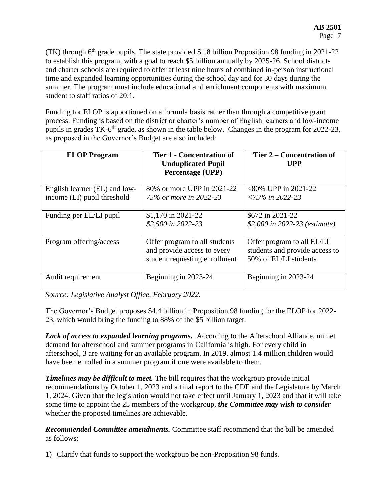(TK) through  $6<sup>th</sup>$  grade pupils. The state provided \$1.8 billion Proposition 98 funding in 2021-22 to establish this program, with a goal to reach \$5 billion annually by 2025-26. School districts and charter schools are required to offer at least nine hours of combined in-person instructional time and expanded learning opportunities during the school day and for 30 days during the summer. The program must include educational and enrichment components with maximum student to staff ratios of 20:1.

Funding for ELOP is apportioned on a formula basis rather than through a competitive grant process. Funding is based on the district or charter's number of English learners and low-income pupils in grades TK-6<sup>th</sup> grade, as shown in the table below. Changes in the program for 2022-23, as proposed in the Governor's Budget are also included:

| <b>ELOP</b> Program                                          | <b>Tier 1 - Concentration of</b><br><b>Unduplicated Pupil</b><br>Percentage (UPP)             | Tier 2 – Concentration of<br><b>UPP</b>                                               |
|--------------------------------------------------------------|-----------------------------------------------------------------------------------------------|---------------------------------------------------------------------------------------|
| English learner (EL) and low-<br>income (LI) pupil threshold | 80% or more UPP in 2021-22<br>75% or more in 2022-23                                          | $<80\%$ UPP in 2021-22<br>$\langle 75\% \text{ in } 2022 - 23 \rangle$                |
| Funding per EL/LI pupil                                      | \$1,170 in 2021-22<br>\$2,500 in 2022-23                                                      | \$672 in 2021-22<br>\$2,000 in 2022-23 (estimate)                                     |
| Program offering/access                                      | Offer program to all students<br>and provide access to every<br>student requesting enrollment | Offer program to all EL/LI<br>students and provide access to<br>50% of EL/LI students |
| Audit requirement                                            | Beginning in 2023-24                                                                          | Beginning in 2023-24                                                                  |

*Source: Legislative Analyst Office, February 2022.*

The Governor's Budget proposes \$4.4 billion in Proposition 98 funding for the ELOP for 2022- 23, which would bring the funding to 88% of the \$5 billion target.

Lack of access to expanded learning programs. According to the Afterschool Alliance, unmet demand for afterschool and summer programs in California is high. For every child in afterschool, 3 are waiting for an available program. In 2019, almost 1.4 million children would have been enrolled in a summer program if one were available to them.

*Timelines may be difficult to meet.* The bill requires that the workgroup provide initial recommendations by October 1, 2023 and a final report to the CDE and the Legislature by March 1, 2024. Given that the legislation would not take effect until January 1, 2023 and that it will take some time to appoint the 25 members of the workgroup, *the Committee may wish to consider*  whether the proposed timelines are achievable.

*Recommended Committee amendments.* Committee staff recommend that the bill be amended as follows:

1) Clarify that funds to support the workgroup be non-Proposition 98 funds.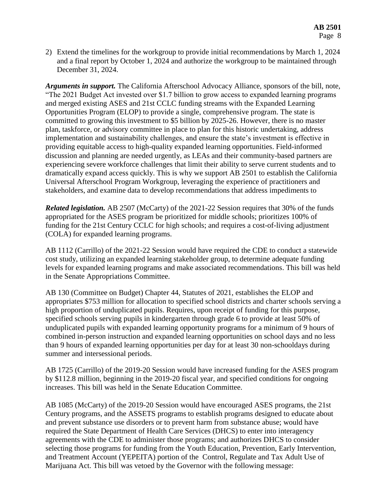2) Extend the timelines for the workgroup to provide initial recommendations by March 1, 2024 and a final report by October 1, 2024 and authorize the workgroup to be maintained through December 31, 2024.

*Arguments in support.* The California Afterschool Advocacy Alliance, sponsors of the bill, note, "The 2021 Budget Act invested over \$1.7 billion to grow access to expanded learning programs and merged existing ASES and 21st CCLC funding streams with the Expanded Learning Opportunities Program (ELOP) to provide a single, comprehensive program. The state is committed to growing this investment to \$5 billion by 2025-26. However, there is no master plan, taskforce, or advisory committee in place to plan for this historic undertaking, address implementation and sustainability challenges, and ensure the state's investment is effective in providing equitable access to high-quality expanded learning opportunities. Field-informed discussion and planning are needed urgently, as LEAs and their community-based partners are experiencing severe workforce challenges that limit their ability to serve current students and to dramatically expand access quickly. This is why we support AB 2501 to establish the California Universal Afterschool Program Workgroup, leveraging the experience of practitioners and stakeholders, and examine data to develop recommendations that address impediments to

*Related legislation.* AB 2507 (McCarty) of the 2021-22 Session requires that 30% of the funds appropriated for the ASES program be prioritized for middle schools; prioritizes 100% of funding for the 21st Century CCLC for high schools; and requires a cost-of-living adjustment (COLA) for expanded learning programs.

AB 1112 (Carrillo) of the 2021-22 Session would have required the CDE to conduct a statewide cost study, utilizing an expanded learning stakeholder group, to determine adequate funding levels for expanded learning programs and make associated recommendations. This bill was held in the Senate Appropriations Committee.

AB 130 (Committee on Budget) Chapter 44, Statutes of 2021, establishes the ELOP and appropriates \$753 million for allocation to specified school districts and charter schools serving a high proportion of unduplicated pupils. Requires, upon receipt of funding for this purpose, specified schools serving pupils in kindergarten through grade 6 to provide at least 50% of unduplicated pupils with expanded learning opportunity programs for a minimum of 9 hours of combined in-person instruction and expanded learning opportunities on school days and no less than 9 hours of expanded learning opportunities per day for at least 30 non-schooldays during summer and intersessional periods.

AB 1725 (Carrillo) of the 2019-20 Session would have increased funding for the ASES program by \$112.8 million, beginning in the 2019-20 fiscal year, and specified conditions for ongoing increases. This bill was held in the Senate Education Committee.

AB 1085 (McCarty) of the 2019-20 Session would have encouraged ASES programs, the 21st Century programs, and the ASSETS programs to establish programs designed to educate about and prevent substance use disorders or to prevent harm from substance abuse; would have required the State Department of Health Care Services (DHCS) to enter into interagency agreements with the CDE to administer those programs; and authorizes DHCS to consider selecting those programs for funding from the Youth Education, Prevention, Early Intervention, and Treatment Account (YEPEITA) portion of the Control, Regulate and Tax Adult Use of Marijuana Act. This bill was vetoed by the Governor with the following message: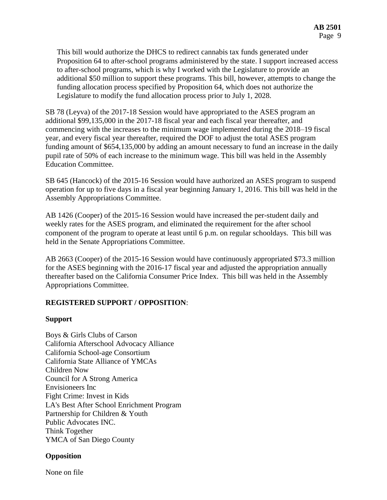This bill would authorize the DHCS to redirect cannabis tax funds generated under Proposition 64 to after-school programs administered by the state. I support increased access to after-school programs, which is why I worked with the Legislature to provide an additional \$50 million to support these programs. This bill, however, attempts to change the funding allocation process specified by Proposition 64, which does not authorize the Legislature to modify the fund allocation process prior to July 1, 2028.

SB 78 (Leyva) of the 2017-18 Session would have appropriated to the ASES program an additional \$99,135,000 in the 2017-18 fiscal year and each fiscal year thereafter, and commencing with the increases to the minimum wage implemented during the 2018–19 fiscal year, and every fiscal year thereafter, required the DOF to adjust the total ASES program funding amount of \$654,135,000 by adding an amount necessary to fund an increase in the daily pupil rate of 50% of each increase to the minimum wage. This bill was held in the Assembly Education Committee.

SB 645 (Hancock) of the 2015-16 Session would have authorized an ASES program to suspend operation for up to five days in a fiscal year beginning January 1, 2016. This bill was held in the Assembly Appropriations Committee.

AB 1426 (Cooper) of the 2015-16 Session would have increased the per-student daily and weekly rates for the ASES program, and eliminated the requirement for the after school component of the program to operate at least until 6 p.m. on regular schooldays. This bill was held in the Senate Appropriations Committee.

AB 2663 (Cooper) of the 2015-16 Session would have continuously appropriated \$73.3 million for the ASES beginning with the 2016-17 fiscal year and adjusted the appropriation annually thereafter based on the California Consumer Price Index. This bill was held in the Assembly Appropriations Committee.

### **REGISTERED SUPPORT / OPPOSITION**:

### **Support**

Boys & Girls Clubs of Carson California Afterschool Advocacy Alliance California School-age Consortium California State Alliance of YMCAs Children Now Council for A Strong America Envisioneers Inc Fight Crime: Invest in Kids LA's Best After School Enrichment Program Partnership for Children & Youth Public Advocates INC. Think Together YMCA of San Diego County

# **Opposition**

None on file